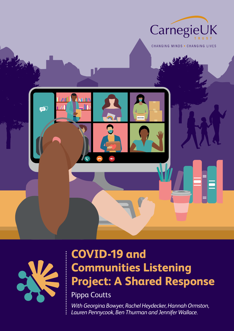



## **COVID-19 and Communities Listening Project: A Shared Response**

Pippa Coutts

*With Georgina Bowyer, Rachel Heydecker, Hannah Ormston, Lauren Pennycook, Ben Thurman and Jennifer Wallace.*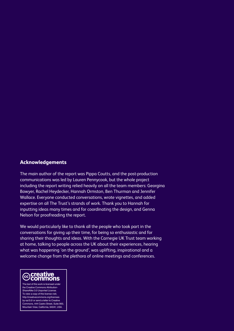#### **Acknowledgements**

The main author of the report was Pippa Coutts, and the post-production communications was led by Lauren Pennycook, but the whole project including the report writing relied heavily on all the team members: Georgina Bowyer, Rachel Heydecker, Hannah Ormston, Ben Thurman and Jennifer Wallace. Everyone conducted conversations, wrote vignettes, and added expertise on all The Trust's strands of work. Thank you to Hannah for inputting ideas many times and for coordinating the design, and Genna Nelson for proofreading the report.

We would particularly like to thank all the people who took part in the conversations for giving up their time, for being so enthusiastic and for sharing their thoughts and ideas. With the Carnegie UK Trust team working at home, talking to people across the UK about their experiences, hearing what was happening 'on the ground', was uplifting, inspirational and a welcome change from the plethora of online meetings and conferences.



the Creative Commons Attribution-ShareAlike 3.0 Unported License. To view a copy of this license visit, http://creativecommons.org/licenses by-sa/3.0/ or send a letter to Creative Commons, 444 Castro Street, Suite 900, Mountain View, California, 94041, USA.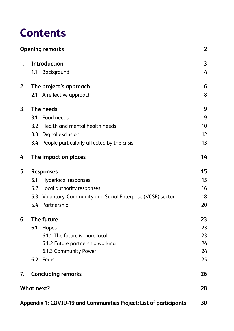## **Contents**

|    | <b>Opening remarks</b>           |                                                                    | $\overline{2}$          |
|----|----------------------------------|--------------------------------------------------------------------|-------------------------|
| 1. | <b>Introduction</b>              |                                                                    | $\overline{\mathbf{3}}$ |
|    | Background<br>1.1                |                                                                    | $\overline{4}$          |
| 2. | The project's approach           |                                                                    | 6                       |
|    | A reflective approach<br>2.1     |                                                                    | 8                       |
| 3. | The needs                        |                                                                    | 9                       |
|    | Food needs<br>3.1                |                                                                    | 9                       |
|    | 3.2                              | Health and mental health needs                                     | 10                      |
|    | Digital exclusion<br>3.3         |                                                                    | 12                      |
|    |                                  | 3.4 People particularly affected by the crisis                     | 13                      |
| 4  | The impact on places             |                                                                    | 14                      |
| 5  | <b>Responses</b>                 |                                                                    | 15                      |
|    | Hyperlocal responses<br>5.1      |                                                                    | 15                      |
|    | Local authority responses<br>5.2 |                                                                    | 16                      |
|    | 5.3                              | Voluntary, Community and Social Enterprise (VCSE) sector           | 18                      |
|    | Partnership<br>5.4               |                                                                    | 20                      |
| 6. | The future                       |                                                                    |                         |
|    | 6.1<br>Hopes                     |                                                                    | 23                      |
|    |                                  | 6.1.1 The future is more local                                     | 23                      |
|    |                                  | 6.1.2 Future partnership working                                   | 24                      |
|    | 6.1.3 Community Power            |                                                                    | 24                      |
|    | 6.2 Fears                        |                                                                    | 25                      |
| 7. | <b>Concluding remarks</b>        |                                                                    | 26                      |
|    | <b>What next?</b>                |                                                                    | 28                      |
|    |                                  | Appendix 1: COVID-19 and Communities Project: List of participants | 30                      |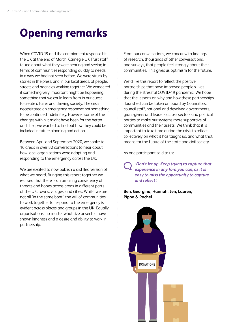## <span id="page-3-0"></span>**Opening remarks**

When COVID-19 and the containment response hit the UK at the end of March, Carnegie UK Trust staff talked about what they were hearing and seeing in terms of communities responding quickly to needs, in a way we had not seen before. We were struck by stories in the press, and in our local areas, of people, streets and agencies working together. We wondered if something very important might be happening: something that we could learn from in our quest to create a fairer and thriving society. The crisis necessitated an emergency response: not something to be continued indefinitely. However, some of the changes within it might have been for the better and, if so, we wanted to find out how they could be included in future planning and action.

Between April and September 2020, we spoke to 16 areas in over 80 conversations to hear about how local organisations were adapting and responding to the emergency across the UK.

We are excited to now publish a distilled version of what we heard. Bringing this report together we realised that there is an amazing consistency of threats and hopes across areas in different parts of the UK: towns, villages, and cities. Whilst we are not all 'in the same boat', the will of communities to work together to respond to the emergency is evident across places and groups in the UK. Equally, organisations, no matter what size or sector, have shown kindness and a desire and ability to work in partnership.

From our conversations, we concur with findings of research, thousands of other conversations, and surveys, that people feel strongly about their communities. This gives us optimism for the future.

We'd like this report to reflect the positive partnerships that have improved people's lives during the stressful COVID-19 pandemic. We hope that the lessons on why and how these partnerships flourished can be taken on board by Councillors, council staff, national and devolved governments, grant-givers and leaders across sectors and political parties to make our systems more supportive of communities and their assets. We think that it is important to take time during the crisis to reflect collectively on what it has taught us, and what that means for the future of the state and civil society.

As one participant said to us:

*'Don't let up. Keep trying to capture that experience in any fora you can, as it is easy to miss the opportunity to capture and reflect'.* 

**Ben, Georgina, Hannah, Jen, Lauren, Pippa & Rachel**

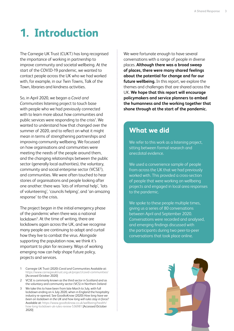## <span id="page-4-0"></span>**1. Introduction**

The Carnegie UK Trust (CUKT) has long recognised the importance of working in partnership to improve community and societal wellbeing. At the start of the COVID-19 pandemic, we wanted to contact people across the UK who we had worked with, for example, in our Twin Towns, Talk of the Town, libraries and kindness activities.

So, in April 2020, we began a *Covid and Communities* listening project to touch base with people who we had previously connected with to learn more about how communities and public services were responding to the crisis<sup>1</sup>. We wanted to understand how that changed over the summer of 2020, and to reflect on what it might mean in terms of strengthening partnerships and improving community wellbeing. We focussed on how organisations and communities were meeting the needs of the people around them, and the changing relationships between the public sector (generally local authorities), the voluntary, community and social enterprise sector (VCSE<sup>2</sup>), and communities. We were often touched to hear stories of organisations and people looking after one another: there was 'lots of informal help', 'lots of volunteering', 'councils helping', and 'an amazing response' to the crisis.

The project began in the initial emergency phase of the pandemic when there was a national lockdown<sup>3</sup>. At the time of writing, there are lockdowns again across the UK, and we recognise many people are continuing to adapt and curtail how they live to combat the virus. Alongside supporting the population now, we think it's important to plan for recovery. Ways of working emerging now can help shape future policy, projects and services.

- 1 Carnegie UK Trust (2020) *Covid and* Communities Available at: <https://www.carnegieuktrust.org.uk/project/covid-communities/> [Accessed October 2020]
- 2 VCSE is commonly known as the third sector in Scotland and as the voluntary and community sector (VCS) in Northern Ireland
- 3 We take this to have been from late March to July, with full lockdown ending on 4 July 2020, when in England the hospitality industry re-opened. See GoodtoKnow (2020) *How long have we been on lockdown in the UK and how long will rules stay in force?* Available at: [https://www.goodtoknow.co.uk/wellbeing/health/](https://www.goodtoknow.co.uk/wellbeing/health/how-long-lockdown-uk-rules-review-536981) [how-long-lockdown-uk-rules-review-536981](https://www.goodtoknow.co.uk/wellbeing/health/how-long-lockdown-uk-rules-review-536981) [Accessed October 2020]

We were fortunate enough to have several conversations with a range of people in diverse places. **Although there was a broad sweep of places, there were many shared feelings about the potential for change and for our future wellbeing.** In this report, we explore the themes and challenges that are shared across the UK. **We hope that this report will encourage policymakers and service planners to embed the humanness and the working together that shone through at the start of the pandemic.** 

## **What we did**

We refer to this work as a listening project, sitting between formal research and anecdotal evidence.

We used a convenience sample of people from across the UK that we had previously worked with. This provided a cross-section of people that were working on wellbeing projects and engaged in local area responses to the pandemic.

We spoke to these people multiple times. giving us a series of 80 conversations between April and September 2020. Conversations were recorded and analysed, and emerging findings discussed with the participants during two peer-to-peer conversations that took place online.

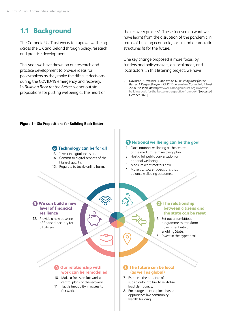## <span id="page-5-0"></span>**1.1 Background**

The Carnegie UK Trust works to improve wellbeing across the UK and Ireland through policy, research and practice development.

This year, we have drawn on our research and practice development to provide ideas for policymakers as they make the difficult decisions during the COVID-19 emergency and recovery. In *Building Back for the Better,* we set out six propositions for putting wellbeing at the heart of

the recovery process<sup>4</sup>. These focused on what we have learnt from the disruption of the pandemic in terms of building economic, social, and democratic structures fit for the future.

One key change proposed is more focus, by funders and policymakers, on local areas, and local actors. In this listening project, we have

4 Davidson, S., Wallace, J. and White, D., *Building Back for the Better: A Perspective from* CUKT Dunfermline: Carnegie UK Trust 2020 Available at: [https://www.carnegieuktrust.org.uk/news/](https://www.carnegieuktrust.org.uk/news/building-back-for-the-better-a-perspective-from-cukt/) [building-back-for-the-better-a-perspective-from-cukt/](https://www.carnegieuktrust.org.uk/news/building-back-for-the-better-a-perspective-from-cukt/) [Accessed October 2020]

#### **Figure 1 – Six Propositions for Building Back Better**

**6 Technology can be for all** 13. Invest in digital inclusion. 14. Commit to digital services of the

15. Regulate to tackle online harm.

highest quality.

#### **1 National wellbeing can be the goal**

- 1. Place national wellbeing at the centre of the medium-term recovery plan.
- 2. Host a full public conversation on national wellbeing.
- 3. Measure what matters now.
- 4. Make transparent decisions that balance wellbeing outcomes.

#### **5 We can build a new level of financial resilience**

12. Provide a new baseline of financial security for all citizens.

#### **2 The relationship between citizens and the state can be reset**

5. Set out an ambitious programme to transform government into an Enabling State. 6. Invest in the hyperlocal.

#### **4 Our relationship with work can be remodelled**

- 10. Make a focus on fair work a central plank of the recovery.
- 11. Tackle inequality in access to fair work.

#### **3 The future can be local (as well as global)**

- 7. Establish the principle of subsidiarity into law to revitalise local democracy.
- 8. Encourage holistic, place-based approaches like community wealth building.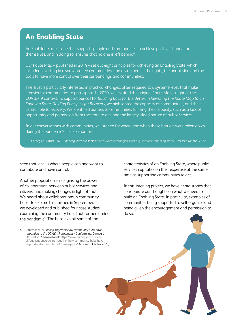### **An Enabling State**

An Enabling State is one that supports people and communities to achieve positive change for themselves, and in doing so, ensures that no one is left behind<sup>6</sup>.

Our Route Map – published in 2014 – set out eight principles for achieving an Enabling State, which included investing in disadvantaged communities, and giving people the rights, the permission and the tools to have more control over their surroundings and communities.

The Trust is particularly interested in practical changes, often required at a systems-level, that make it easier for communities to participate. In 2020, we revisited the original Route Map in light of the COVID-19 context. To support our call for *Building Back for the Better*, in *Revisiting the Route Map to an Enabling State: Guiding Principles for Recovery,* we highlighted the capacity of communities, and their central role to recovery. We identified barriers to communities fulfilling their capacity, such as a lack of opportunity and permission from the state to act, and the largely siloed nature of public services.

In our conversations with communities, we listened for where and when these barriers were taken down during the pandemic's first six months.

6 Carnegie UK Trust (2020) *Enabling State* Available at:<https://www.carnegieuktrust.org.uk/project/enabling-state/> [Accessed October 2020]

seen that local is where people can and want to contribute and have control.

Another proposition is recognising the power of collaboration between public services and citizens, and making changes in light of that. We heard about collaborations in community hubs. To explore this further, in September, we developed and published four case studies examining the community hubs that formed during the pandemic<sup>5</sup>. The hubs exhibit some of the

5 Coutts, P. et. al *Pooling Together: How community hubs have responded to the COVID-19 emergency* Dunfermline: Carnegie UK Trust 2020 Available at: [https://www.carnegieuktrust.org.](https://www.carnegieuktrust.org.uk/publications/pooling-together-how-community-hubs-have-responded-to-the-COVID-19-emergency/) [uk/publications/pooling-together-how-community-hubs-have](https://www.carnegieuktrust.org.uk/publications/pooling-together-how-community-hubs-have-responded-to-the-COVID-19-emergency/)[responded-to-the-COVID-19-emergency/](https://www.carnegieuktrust.org.uk/publications/pooling-together-how-community-hubs-have-responded-to-the-COVID-19-emergency/) Accessed October 2020] characteristics of an Enabling State, where public services capitalise on their expertise at the same time as supporting communities to act.

In this listening project, we have heard stories that corroborate our thoughts on what we need to build an Enabling State. In particular, examples of communities being supported to self-organise and being given the encouragement and permission to do so.

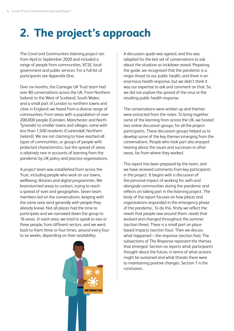# <span id="page-7-0"></span>**2. The project's approach**

The *Covid and Communities* listening project ran from April to September 2020 and included a range of people from communities, VCSE, local government and public services. For a full list of participants see Appendix One.

Over six months, the Carnegie UK Trust team had over 80 conversations across the UK. From Northern Ireland; to the West of Scotland; South Wales; and a small part of London to northern towns and cities in England; we heard from a diverse range of communities. From areas with a population of over 200,000 people (Camden, Manchester and North Tyneside) to smaller towns and villages, some with less than 1,500 residents (Cushendall, Northern Ireland). We are not claiming to have reached all types of communities, or groups of people with protected characteristics, but the spread of areas is relatively rare in accounts of learning from the pandemic by UK policy and practice organisations.

A project team was established from across the Trust, including people who work on our towns, wellbeing, libraries and digital programmes. We brainstormed areas to contact, trying to reach a spread of sizes and geographies. Seven team members led on the conversations, keeping with the same area (and generally with people they already knew). Not all places had the time to participate and we narrowed down the group to 16 areas. In each area, we tried to speak to two or three people, from different sectors, and we went back to them three or four times, around every four to six weeks, depending on their availability.



A discussion guide was agreed, and this was adapted for the last set of conversations to ask about the situation as lockdown eased. Preparing the guide, we recognised that the pandemic is a major threat to our public health, and there is an enormous health response, but we didn't think it was our expertise to ask and comment on that. So, we did not explore the spread of the virus or the resulting public health response.

The conversations were written up and themes were extracted from the notes. To bring together some of the learning from across the UK, we hosted two online discussion groups, for all the project participants. These discussion groups helped us to develop some of the key themes emerging from the conversations. People who took part also enjoyed hearing about the issues and successes in other areas, far from where they worked.

This report has been prepared by the team, and we have received comments from key participants in the project. It begins with a discussion of the personal impact of working for, with and alongside communities during the pandemic and reflects on taking part in the listening project. The body of the report focuses on how places and organisations responded in the emergency phase of the pandemic. To do this, firstly we reflect the needs that people saw around them: needs that evolved and changed throughout the summer (section three). There is a small part on placebased impacts (section four). Then we discuss what happened – the response (section five). The subsections of *The Response* represent the themes that emerged. Section six reports what participants thought about the future, in terms of what actions might be sustained and what threats there were to maintaining positive changes. Section 7 is the conclusion.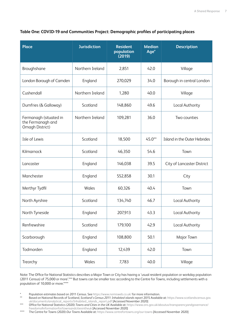#### **Table One: COVID-19 and Communities Project: Demographic profiles of participating places**

| <b>Place</b>                                                   | <b>Jurisdiction</b> | <b>Resident</b><br>population<br>(2019) | <b>Median</b><br>Age <sup>*</sup> | <b>Description</b>           |
|----------------------------------------------------------------|---------------------|-----------------------------------------|-----------------------------------|------------------------------|
| Broughshane                                                    | Northern Ireland    | 2,851                                   | 42.0                              | Village                      |
| London Borough of Camden                                       | England             | 270,029                                 | 34.0                              | Borough in central London    |
| Cushendall                                                     | Northern Ireland    | 1,280                                   | 40.0                              | Village                      |
| Dumfries (& Galloway)                                          | Scotland            | 148,860                                 | 49.6                              | Local Authority              |
| Fermanagh (situated in<br>the Fermanagh and<br>Omagh District) | Northern Ireland    | 109,281                                 | 36.0                              | Two counties                 |
| Isle of Lewis                                                  | Scotland            | 18,500                                  | $45.0**$                          | Island in the Outer Hebrides |
| Kilmarnock                                                     | Scotland            | 46,350                                  | 54.6                              | Town                         |
| Lancaster                                                      | England             | 146,038                                 | 39.5                              | City of Lancaster District   |
| Manchester                                                     | England             | 552,858                                 | 30.1                              | City                         |
| Merthyr Tydfil                                                 | Wales               | 60,326                                  | 40.4                              | Town                         |
| North Ayrshire                                                 | Scotland            | 134,740                                 | 46.7                              | Local Authority              |
| North Tyneside                                                 | England             | 207,913                                 | 43.3                              | Local Authority              |
| Renfrewshire                                                   | Scotland            | 179,100                                 | 42.9                              | Local Authority              |
| Scarborough                                                    | England             | 108,800                                 | 50.1                              | Major Town                   |
| Todmorden                                                      | England             | 12,439                                  | 42.0                              | Town                         |
| Treorchy                                                       | Wales               | 7,783                                   | 40.0                              | Village                      |

Note: The Office for National Statistics describes a Major Town or City has having a 'usual resident population or workday population (2011 Census) of 75,000 or more'.\*\*\* But towns can be smaller too: according to the Centre for Towns, including settlements with a population of 10,000 or more.\*\*\*\*

\* Population estimates based on 2011 Census. See <https://www.nomisweb.co.uk/> for more information.

\*\* Based on National Records of Scotland, *Scotland's Census 2011: Inhabited islands report* 2015 Available at: [https://www.scotlandscensus.gov.](https://www.scotlandscensus.gov.uk/documents/analytical_reports/Inhabited_islands_report.pdf) [uk/documents/analytical\\_reports/Inhabited\\_islands\\_report.pdf](https://www.scotlandscensus.gov.uk/documents/analytical_reports/Inhabited_islands_report.pdf) [Accessed November 2020]

\*\*\* Office for National Statistics (2020) *Towns and Cities in the UK* Available at: [https://www.ons.gov.uk/aboutus/transparencyandgovernance/](https://www.ons.gov.uk/aboutus/transparencyandgovernance/freedomofinformationfoi/townsandcitiesintheuk) [freedomofinformationfoi/townsandcitiesintheuk](https://www.ons.gov.uk/aboutus/transparencyandgovernance/freedomofinformationfoi/townsandcitiesintheuk) [Accessed November 2020]

\*\*\*\* The Centre for Towns (2020) *Our Towns* Available at: <https://www.centrefortowns.org/our-towns>[Accessed November 2020]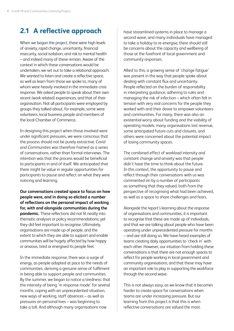## <span id="page-9-0"></span>**2.1 A reflective approach**

When we began the project, there were high levels of anxiety, rapid change, uncertainty, financial insecurity, social isolation, and risk to mental health – and indeed many of these remain. Aware of the context in which these conversations would be undertaken, we set out to take a relational approach. We wanted to listen and create a reflective space, as well as learn from those we spoke to, many of whom were heavily involved in the immediate crisis response. We asked people to speak about their own recent (work related) experiences, and that of their organisation. Not all participants were employed by groups they talked about, for example, some were volunteers, local business people and members of the local Chamber of Commerce.

In designing this project when those involved were under significant pressures, we were conscious that the process should not be purely extractive. *Covid and Communities* was therefore framed as a series of conversations, rather than formal interviews. The intention was that the process would be beneficial to participants in and of itself. We anticipated that there might be value in regular opportunities for participants to pause and reflect on what they were noticing and learning.

**Our conversations created space to focus on how people were, and in doing so elicited a number of reflections on the personal impact of working for, with and alongside communities during the pandemic.** These reflections did not fit neatly into thematic analyses or policy recommendations; yet they did feel important to recognise. Ultimately, organisations are made up of people, and the extent to which they are able to support and enable communities will be hugely affected by how happy or anxious, tired or energised its people feel.

In the immediate response, there was a surge of energy, as people adapted at pace to the needs of communities, deriving a genuine sense of fulfilment in being able to support people and communities. By the summer, we began to notice a tiredness: that the intensity of being 'in response mode' for several months, coping with an unprecedented situation, new ways of working, staff absences – as well as pressures on personal lives – was beginning to take a toll. And although many organisations now

have streamlined systems in place to manage a second wave, and many individuals have managed to take a holiday to re-energise, there should still be concerns about the capacity and wellbeing of those at the forefront of local government and community responses.

Allied to this, a growing sense of 'change fatigue' was present in the way that people spoke about dealing with constant flux and uncertainty. People reflected on the burden of responsibility in interpreting guidance, adhering to rules and managing the risk of infection – which often felt in tension with very real concerns for the people they worked with and their desire to empower volunteers and communities. For many, there was also an existential worry about funding and the viability of operating models: many organisations lost revenue, some anticipated future cuts and closures, and others were concerned about the potential impact of losing community spaces.

The combined effect of workload intensity and constant change and anxiety was that people didn't have the time to think about the future. In this context, the opportunity to pause and reflect through their conversations with us was commented on by a number of participants as something that they valued, both from the perspective of recognising what had been achieved, as well as a space to share challenges and fears.

Alongside the report's learning about the response of organisations and communities, it is important to recognise that these are made up of individuals, and that we are talking about people who have been operating under unprecedented pressure for months – and are still doing so. We have heard examples of teams creating daily opportunities to 'check in' with each other. However, our intuition from holding these conversations is that there are not enough spaces to reflect for people working in local government and community organisations; and that these may have an important role to play in supporting the workforce through the second wave.

This is not always easy, as we know that it becomes harder to create space for conversations when teams are under increasing pressure. But our learning from this project is that this is when reflective conversations are valued the most.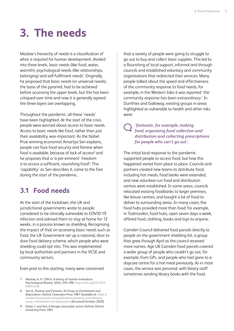# <span id="page-10-0"></span>**3. The needs**

Maslow's hierarchy of needs is a classification of what is required for human development, divided into three levels, basic needs (like food, water, warmth), psychological needs (like relationships, belonging) and self-fulfilment needs<sup>7</sup>. Originally, he proposed that basic needs (or universal needs), the basis of the pyramid, had to be achieved before accessing the upper levels, but this has been critiqued over time and now it is generally agreed the three layers are overlapping.

Throughout the pandemic, all these 'needs' have been highlighted. At the start of the crisis, people were worried about access to basic needs. Access to basic needs like food, rather than just their availability, was important. As the Nobel Prize winning economist Amartya Sen explains, people can face food security and famine when food is available, because of lack of access<sup>8</sup> and he proposes that a 'a pre-eminent' freedom is to access a sufficient, nourishing food<sup>9</sup>. This 'capability' as Sen describes it, came to the fore during the start of the pandemic.

## **3.1 Food needs**

At the start of the lockdown, the UK and jurisdictional governments wrote to people considered to be clinically vulnerable to COVID-19 infection and advised them to stay at home for 12 weeks, in a process known as shielding. Recognising the impact of that on accessing basic needs such as food, the UK Government set up a national, door to door food delivery scheme, which people who were shielding could opt into. This was implemented by local authorities and partners in the VCSE and community sectors.

Even prior to this starting, many were concerned

- 7 Maslow, A. H. (1943). A theory of human motivation. *Psychological Review, 50*(4), 370–396. [https://doi.org/10.1037/](https://psycnet.apa.org/doi/10.1037/h0054346) [h0054346](https://psycnet.apa.org/doi/10.1037/h0054346)
- 8 Sen A., *Poverty and Famines: An Essay on Entitlement and Deprivation.* Oxford: Clarendon Press 1981 Available at: [https://](https://scholar.harvard.edu/sen/publications/poverty-and-famines-essay-entitlement-and-deprivation) [scholar.harvard.edu/sen/publications/poverty-and-famines](https://scholar.harvard.edu/sen/publications/poverty-and-famines-essay-entitlement-and-deprivation)[essay-entitlement-and-deprivation](https://scholar.harvard.edu/sen/publications/poverty-and-famines-essay-entitlement-and-deprivation) [Accessed October 2020]
- 9 Drèze, J. and Sen, A *Hunger and public action* Oxford: Oxford University Press 1991

that a variety of people were going to struggle to go out to buy and collect basic supplies. This led to a flourishing of local support, informal and through councils and established voluntary and community organisations that redirected their services. Many people talked about the speed and effectiveness of the community response to food needs, for example, in the Western Isles it was reported *'the community response has been extraordinary'*. In Dumfries and Galloway, existing groups in areas highlighted as vulnerable to health and other risks were:

#### *'fantastic, for example, making food, organising food collection and distribution and collecting prescriptions for people who can't go out'.*

The initial local response to the pandemic supported people to access food, but how this happened varied from place to place. Councils and partners created new teams to distribute food, including hot meals, food banks were extended, and new volunteer-run food and distribution centres were established. In some areas, councils relocated existing foodbanks to larger premises, like leisure centres, and bought a lot of food to deliver to surrounding areas. In many cases, the food hubs provided more than food, for example, in Todmorden, food hubs, open seven days a week, offered food, clothing, books and toys to anyone.

Camden Council delivered food parcels directly to people on the government shielding list, a group that grew through April as the council received more names. Age UK Camden food parcels covered a wider group of people who couldn't go out, for example, from GPs, and people who had gone to a daycare centre for a hot meal previously. As in most cases, the service was personal, with library staff sometimes sending library books with the food.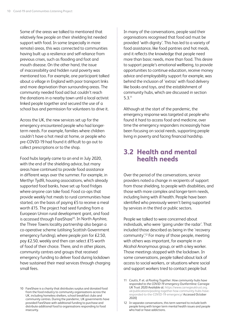<span id="page-11-0"></span>Some of the areas we talked to mentioned that relatively few people on their shielding list needed support with food. In some (especially in more remote) areas, this was connected to communities having built up a resilience and self-reliance from previous crises, such as flooding and foot and mouth disease. On the other hand, the issue of inaccessibility and hidden rural poverty was mentioned too. For example, one participant talked about a village in England with poor transport links and more deprivation than surrounding areas. The community needed food aid but couldn't reach the donations in a nearby town until a local activist linked people together and secured the use of a school bus and permission for volunteers to drive it.

Across the UK, the new services set up for the emergency encountered people who had longerterm needs. For example, families where children couldn't have a hot meal at home, or people who pre-COVID-19 had found it difficult to go out to collect prescriptions or to the shop.

Food hubs largely came to an end in July 2020, with the end of the shielding advice, but many areas have continued to provide food assistance in different ways over the summer. For example, in Merthyr Tydfil, housing associations, which already supported food banks, have set up food fridges where anyone can take food. Food co-ops that provide weekly hot meals to rural communities have started, on the basis of paying £5 to receive a meal worth £15. The project had seed funding from a European Union rural development grant, and food is accessed through FareShare<sup>10</sup>. In North Ayrshire, the Three Towns locality partnership also began a co-operative scheme (utilising Scottish Government emergency funding), where people join for £2.50, pay £2.50, weekly and then can select £15 worth of food of their choice. There, and in other places, community centres and groups that received emergency funding to deliver food during lockdown have sustained their meal services through charging small fees.

In many of the conversations, people said their organisations recognised that food aid must be provided 'with dignity'. This has led to a variety of food assistance, like food pantries and hot meals, and it reflects the knowledge that people need more than basic needs, more than food. This desire to support people's emotional wellbeing, to provide opportunities to continue education, receive money advice and employability support for example, was behind the inclusion of 'extras' with food delivery like books and toys, and the establishment of community hubs, which are discussed in section 5.3.11

Although at the start of the pandemic, the emergency response was targeted at people who found it hard to access food and medicine, over time the emergency responders increasingly have been focusing on social needs, supporting people living in poverty and facing financial hardship.

### **3.2 Health and mental health needs**

Over the period of the conversations, service providers noted a change in recipients of support from those shielding, to people with disabilities, and those with more complex and longer-term needs, including living with ill health. People have been identified who previously weren't being supported by services in the third or public sectors.

People we talked to were concerned about individuals, who were 'going under the radar'. That included those described as being in the 'recovery community'.12 For many of those people, meeting with others was important, for example in an Alcohol Anonymous group, or with a key worker. Those meetings stopped with the lockdown. In some conversations, people talked about lack of access to social workers, or situations where social and support workers tried to contact people but

<sup>10</sup> FareShare is a charity that distributes surplus and donated food from the food industry to community organisations across the UK, including homeless shelters, school breakfast clubs and community centres. During the pandemic, UK governments have provided FareShare with additional funding to purchase and distribute additional food to organisations responding to food insecurity.

<sup>11</sup> Coutts, P. et. al *Pooling Together: How community hubs have responded to the COVID-19 emergency* Dunfermline: Carnegie UK Trust 2020 Available at: [https://www.carnegieuktrust.org.](https://www.carnegieuktrust.org.uk/publications/pooling-together-how-community-hubs-have-responded-to-the-COVID-19-emergency/) [uk/publications/pooling-together-how-community-hubs-have](https://www.carnegieuktrust.org.uk/publications/pooling-together-how-community-hubs-have-responded-to-the-COVID-19-emergency/)[responded-to-the-COVID-19-emergency/](https://www.carnegieuktrust.org.uk/publications/pooling-together-how-community-hubs-have-responded-to-the-COVID-19-emergency/) Accessed October 2020]

<sup>12</sup> In separate conversations, this term seemed to include both people living with longer term mental health issues and people who had or have addictions.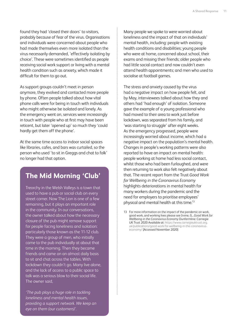found they had 'closed their doors' to visitors, probably because of fear of the virus. Organisations and individuals were concerned about people who had made themselves even more isolated than the virus necessarily demanded, 'effectively isolating by choice'. These were sometimes identified as people receiving social work support or living with a mental health condition such as anxiety, which made it difficult for them to go out.

As support groups couldn't meet in person anymore, they evolved and contacted more people by phone. Often people talked about how vital phone calls were for being in touch with individuals who might otherwise be isolated and lonely. As the emergency went on, services were increasingly in touch with people who at first may have been reticent, but later 'opened up' so much they 'could hardly get them off the phone'.

At the same time access to indoor social spaces like libraries, cafes, and bars was curtailed, so the person who used 'to sit in Greggs and chat to folk' no longer had that option.

## **The Mid Morning 'Club'**

Treorchy in the Welsh Valleys is a town that used to have a pub or social club on every street corner. Now The Lion is one of a few remaining, but it plays an important role in the community. In our conversations, the owner talked about how the necessary closure of the pub might remove support for people facing loneliness and isolation: particularly those known as the 11-12 club. They were a group of men, who initially came to the pub individually at about that time in the morning. Then they became friends and came on an almost daily basis to sit and chat across the tables. With lockdown they couldn't go. Many live alone, and the lack of access to a public space to talk was a serious blow to their social life. The owner said,

*'The pub plays a huge role in tackling loneliness and mental health issues, providing a support network. We keep an eye on them (our customers)'.*

Many people we spoke to were worried about loneliness and the impact of that on individuals' mental health, including: people with existing health conditions and disabilities; young people who were at home, concerned about school, their exams and missing their friends; older people who had little social contact and now couldn't even attend health appointments; and men who used to socialise at football games.

The stress and anxiety caused by the virus had a negative impact on how people felt, and by May, interviewees talked about how they and others had 'had enough' of isolation. Someone gave the example of a young professional who had moved to their area to work just before lockdown, was separated from his family, and 'was starting to struggle' after eight weeks. As the emergency progressed, people were increasingly worried about income, which had a negative impact on the population's mental health. Changes in people's working patterns were also reported to have an impact on mental health: people working at home had less social contact, whilst those who had been furloughed, and were then returning to work also felt negatively about that. The recent report from the Trust *Good Work for Wellbeing in the Coronavirus Economy* highlights deteriorations in mental health for many workers during the pandemic and the need for employers to prioritise employees' physical and mental health at this time.<sup>13</sup>

13 For more information on the impact of the pandemic on work, good work, and working lives please see Irvine, G., *Good Work for Wellbeing in the Coronavirus Economy* Dunfermline: Carnegie UK Trust 2020 Available at: [https://www.carnegieuktrust.org.](https://www.carnegieuktrust.org.uk/publications/good-work-for-wellbeing-in-the-coronavirus-economy/) [uk/publications/good-work-for-wellbeing-in-the-coronavirus](https://www.carnegieuktrust.org.uk/publications/good-work-for-wellbeing-in-the-coronavirus-economy/)[economy/](https://www.carnegieuktrust.org.uk/publications/good-work-for-wellbeing-in-the-coronavirus-economy/) [Accessed November 2020]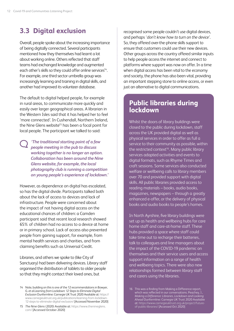## <span id="page-13-0"></span>**3.3 Digital exclusion**

Overall, people spoke about the increasing importance of being digitally connected. Several participants mentioned how they themselves had learnt a lot about working online. Others reflected that staff teams had exchanged knowledge and augmented each other's skills so they could offer online services<sup>14</sup>. For example, one third sector umbrella group was increasingly learning and training in digital skills, and another had improved its volunteer database.

The default to digital helped people, for example in rural areas, to communicate more quickly and easily over larger geographical areas. A librarian in the Western Isles said that it has helped her to feel 'more connected'. In Cushendall, Northern Ireland, the Nine Glens website<sup>15</sup> has been a focal point for local people. The participant we talked to said:

*'The traditional starting point of a few people meeting in the pub to discuss working together is no longer an option. Collaboration has been around the Nine Glens website, for example, the local photography club is running a competition on young people's experience of lockdown.'*

However, as dependence on digital has escalated, so has the digital divide. Participants talked both about the lack of access to devices and lack of infrastructure. People were concerned about the impact of not having digital access on the educational chances of children: a Camden participant said that recent local research showed 65% of children had no access to a device at home or in primary school. Lack of access also prevented people from gaining support, for example, from mental health services and charities, and from claiming benefits such as Universal Credit.

Libraries, and others we spoke to (like City of Sanctuary) had been delivering devices. Library staff organised the distribution of tablets to older people so that they might contact their loved ones, but

15 *The Nine Glens* (2020) Available at: [https://www.thenineglens.](https://www.thenineglens.com/) [com/](https://www.thenineglens.com/) [Accessed October 2020]

recognised some people couldn't use digital devices, and perhaps '*don't know how to turn on the device'*. So, they offered over-the-phone skills support to ensure that customers could use their new devices. Other groups across the country offered similar inputs to help people access the internet and connect to platforms where support was now on offer. In a time when digital access has been vital to the economy and society, the phone has also been vital, providing an important stepping stone to online access, or even just an alternative to digital communications.

### **Public libraries during lockdown**

Whilst the doors of library buildings were closed to the public during lockdown, staff across the UK provided digital as well as physical services in order to offer as full a service to their community as possible, within the restricted context<sup>16</sup>. Many public library services adapted activities and events to digital formats, such as Rhyme Times and craft sessions. Some services also conducted welfare or wellbeing calls to library members over 70 and provided support with digital skills. All public libraries provided access to reading materials – books, audio books, magazines, newspapers – through a greatly enhanced e-offer, or the delivery of physical books and audio books to people's homes.

In North Ayrshire, five library buildings were set up as health and wellbeing hubs for care home staff and care-at-home staff. These hubs provided a space where staff could take time out to recharge their batteries, talk to colleagues and line managers about the impact of the COVID-19 pandemic on themselves and their service users and access support information on a range of health and wellbeing topics. There were also new relationships formed between library staff and carers using the libraries.

16 This was a finding from Making a Difference report, which was reflected in our conversations. Peachey, J. *Making a Difference: Libraries, Lockdown and Looking Ahead* Dunfermline: Carnegie UK Trust 2020 Available at: [https://www.carnegieuktrust.org.uk/project/future](https://www.carnegieuktrust.org.uk/project/future-of-public-libraries/)[of-public-libraries/](https://www.carnegieuktrust.org.uk/project/future-of-public-libraries/) [Accessed Oct 2020]

<sup>14</sup> Note, building on this is one of the 12 recommendations in Bowyer, G. et al *Learning from Lockdown: 12 Steps to Eliminate Digital Exclusion* Dunfermline: Carnegie UK Trust 2020 Available at: [https://](https://www.carnegieuktrust.org.uk/publications/learning-from-lockdown-12-steps-to-eliminate-digital-exclusion/) [www.carnegieuktrust.org.uk/publications/learning-from-lockdown-](https://www.carnegieuktrust.org.uk/publications/learning-from-lockdown-12-steps-to-eliminate-digital-exclusion/)[12-steps-to-eliminate-digital-exclusion/](https://www.carnegieuktrust.org.uk/publications/learning-from-lockdown-12-steps-to-eliminate-digital-exclusion/) [Accessed November 2020]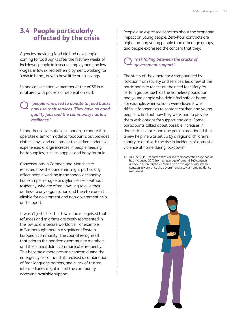### <span id="page-14-0"></span>**3.4 People particularly affected by the crisis**

Agencies providing food aid had new people coming to food banks after the first few weeks of lockdown: people in insecure employment, on low wages, in low skilled self-employment, working for 'cash in hand', or who have little or no savings.

In one conversation, a member of the VCSE in a rural area with pockets of deprivation said:

*'people who used to donate to food banks now use their services. They have no good quality jobs and the community has low resilience.'*

In another conversation, in London, a charity that operates a similar model to foodbanks but provides clothes, toys, and equipment to children under five, experienced a large increase in people needing basic supplies, such as nappies and baby formula.

Conversations in Camden and Manchester reflected how the pandemic might particularly affect people working in the shadow economy. For example, refugee or asylum seekers without residency, who are often unwilling to give their address to any organisation and therefore aren't eligible for government and non-government help and support.

It wasn't just cities, but towns too recognised that refugees and migrants are overly represented in the low paid, insecure workforce. For example, in Scarborough there is a significant Eastern European community. The council recognised that prior to the pandemic community members and the council didn't communicate frequently. This became a more pressing concern during the emergency as council staff realised a combination of fear, language barriers, and a lack of trusted intermediaries might inhibit the community accessing available support.

People also expressed concerns about the economic impact on young people. Zero-hour contracts are higher among young people than other age groups, and people expressed the concern that they:

#### *'risk falling between the cracks of government support'.*

The stress of the emergency compounded by isolation from society and services, led a few of the participants to reflect on the need for safety for certain groups, such as the homeless population and young people who didn't feel safe at home. For example, when schools were closed it was difficult for agencies to contact children and young people to find out how they were, and to provide them with options for support and care. Some participants talked about possible increases in domestic violence, and one person mentioned that a new helpline was set up by a regional children's charity to deal with the rise in incidents of domestic violence at home during lockdown<sup>17.</sup>

17 In June NSPCC reported that calls to their domestic abuse hotline had increased 32% from an average of around 140 contacts a week in 6 January to 22 March, to an average of around 185 contacts a week since the government's stay at home guidance was issued.

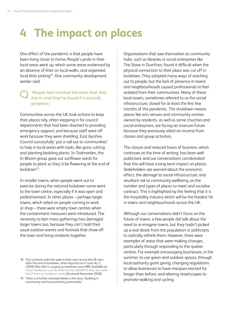## <span id="page-15-0"></span>**4 The impact on places**

One effect of the pandemic is that people have been living closer to home. People's pride in their local areas went up, which some areas evidenced by an absence of litter on local walks, and organised local litter picking<sup>18</sup>. One community development worker said:

#### *'People had revisited the town that they live in, and they've found it's actually gorgeous.'*

Communities across the UK took actions to keep their places tidy, often stepping in for council departments that had been diverted to providing emergency support, and because staff were off work because they were shielding. East Ayrshire Council successfully 'put a call out to communities' to help in local areas with tasks, like grass cutting and planting bedding plants. In Todmorden, the In Bloom group gave out sunflower seeds for people to plant so they'd be flowering at the end of lockdown<sup>19</sup>.

In smaller towns, when people went out to exercise during the national lockdown some went to the town centre, especially if it was open and pedestrianised. In other places – perhaps larger towns, which relied on people coming to work or shop – there were empty town centres when the containment measures were introduced. The necessity to ban mass gatherings has damaged larger towns too, because they can't hold their usual outdoor events and festivals that show off the town and bring residents together.

19 There is a further example below in the story 'bedding in community and local authority partnership'.

Organisations that saw themselves as community hubs, such as libraries or social enterprises like The Stove in Dumfries, found it difficult when the physical connection to their place was cut off in lockdown. They adopted many ways of reaching out to people, but the lack of presence in towns and neighbourhoods caused professionals to feel isolated from their communities. Many of these local assets, sometimes referred to as the social infrastructure, closed for at least the first few months of the pandemic. The shutdown means places like arts venues and community centres owned by residents, as well as some churches and social enterprises, are facing an insecure future because they previously relied on income from classes and group activities.

The closure and reduced hours of business, which continues at the time of writing, has been well publicised, and our conversations corroborated that this will have a long-term impact on places. Stakeholders are worried about the economic effect, the damage to social infrastructure, and resultant risk to community wellbeing, as the number and types of places to meet and socialise contract. This is highlighted by the feeling that it is the hospitality industry which will be the hardest hit in towns and neighbourhoods across the UK.

Although our conversations didn't focus on the future of towns, a few people did talk about the need to re-imagine towns, but they hadn't picked up a real desire from the population or politicians to radically rethink them. However, there were examples of areas that were making changes, particularly through responding to the quieter centres. For example encouraging businesses, in the summer, to use green and outdoor spaces, through local authority grant giving; changing regulations to allow businesses to have marques erected for longer than before; and altering streetscapes to promote walking and cycling.

<sup>18</sup> This contrasts with the spike in litter seen across the UK seen after the end of lockdown, often reported on in June. Ro, C. (2020) *Why litter is surging as lockdown eases* BBC Available at: [https://www.bbc.com/worklife/article/20200610-why-are-parks](https://www.bbc.com/worklife/article/20200610-why-are-parks-full-of-litter-as-lockdown-eases)[full-of-litter-as-lockdown-eases](https://www.bbc.com/worklife/article/20200610-why-are-parks-full-of-litter-as-lockdown-eases) [Accessed November 2020]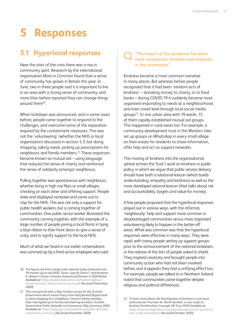## <span id="page-16-0"></span>**5 Responses**

## **5.1 Hyperlocal responses**

Near the start of the crisis there was a rise in community spirit. Research by the international organisation *More in Common* found that a sense of community has grown in Britain this year. In June, two in three people said it is important to live in an area with a strong sense of community, and more than before reported they can change things around them20.

When lockdown was announced, and in some cases before, people came together to respond to the challenges, and overcome some of the separation required by the containment measures. This was not the 'volunteering' (whether the NHS or local organisation) discussed in section 5.3, but doing shopping, taking meals, picking up prescriptions for neighbours and family members.21 These responses became known as mutual aid – using language that reduced the sense of charity and reinforced the sense of solidarity amongst neighbours.

Pulling together was spontaneous with neighbours, whether living in high-rise flats or small villages, checking on each other and offering support. People drew and displayed rainbows and came out to clap for the NHS. This was not only a support for public health workers, but a coming together of communities. One public sector worker illustrated the community coming together, with the example of a large number of people joining a local florist in tying a blue ribbon to their front doors to give a sense of unity, and to signify support to the local NHS.

Much of what we heard in our earlier conversations was summed up by a third sector employee who said:

#### *'The impact of the pandemic has been more compassion, kindness and empathy in the community'.*

Kindness became a more common narrative in many places. But whereas before people recognised that it had been 'random acts of kindness' – donating money to charity, or to food banks – during COVID-19 it suddenly became more organised responding to needs at a neighbourhood and even street level through local social media groups<sup>22</sup>. In one urban area with 19 wards, 15 of them rapidly established mutual aid groups. This happened in rural areas too. For example, a community development trust in the Western Isles set up groups on WhatsApp in every small village on their estate for residents to share information, offer help and act as support networks.

This moving of kindness into the organisational sphere echoes the Trust's work on kindness in public policy, in which we argue that public service delivery should have both a relational lexicon (which builds understanding, empathy and kindness) as well as the more developed rational lexicon (that talks about risk and accountability, targets and value for money).

A few people proposed that the hyperlocal responses played out in various ways, with the informal, 'neighbourly' help and support more common in disadvantaged communities versus more organised volunteering likely to happen in the better-off areas. What was common was that the hyperlocal responses were effective in many ways. They were rapid, with many people setting up support groups prior to the announcement of the national lockdown, or the release of the lists of people asked to shield. They inspired creativity and brought people into community action who had not been involved before, and it appears they had a unifying effect too. For example, people we talked to in Northern Ireland noted that communities came together despite religious and political differences.

22 To learn more about the development of kindness in one local authority see Thurman, B., *North Ayrshire: a case study on kindness* Dunfermline: Carnegie UK Trust *2020* Available at: *[https://www.carnegieuktrust.org.uk/publications/north-ayrshire-a](https://www.carnegieuktrust.org.uk/publications/north-ayrshire-a-case-study-on-kindness/)[case-study-on-kindness/](https://www.carnegieuktrust.org.uk/publications/north-ayrshire-a-case-study-on-kindness/)* [Accessed October 2020]

<sup>20</sup> The figures are from a large-scale national study conducted over 18 months up to mid-2020. Torres- Juan M, Dixon T. and Kimaram A., *Britain's Choice: Common Ground and Division in 2020 Britain* Available at: [https://www.britainschoice.uk/media/1qgllnup/](https://www.britainschoice.uk/media/1qgllnup/moreincommon_britainschoice_exsum.pdf) [moreincommon\\_britainschoice\\_exsum.pdf](https://www.britainschoice.uk/media/1qgllnup/moreincommon_britainschoice_exsum.pdf) [Accessed November 2020]

<sup>21</sup> This corresponds with a May YouGov survey for the Scottish Government which found many more had phoned/Skyped and/ or done shopping for a neighbour, friend or family member, than had signed up to formal volunteering activities. Scottish Government *Public Attitudes to Coronavirus: May Summary* 2020 Available at: [https://www.gov.scot/publications/public-attitudes](https://www.gov.scot/publications/public-attitudes-coronavirus-summary/)[coronavirus-summary/](https://www.gov.scot/publications/public-attitudes-coronavirus-summary/) [Accessed November 2020]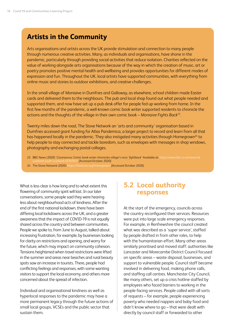## <span id="page-17-0"></span>**Artists in the Community**

Arts organisations and artists across the UK provide stimulation and connection to many people through numerous creative activities. Many, as individuals and organisations, have shone in the pandemic, particularly through providing social activities that reduce isolation. Charities reflected on the value of working alongside arts organisations because of the way in which the creation of music, art or poetry promotes positive mental health and wellbeing and provides opportunities for different modes of expression and fun. Throughout the UK, local artists have supported communities, with everything from online music and stories to outdoor exhibitions, and creative challenges.

In the small village of Moniaive in Dumfries and Galloway, as elsewhere, school children made Easter cards and delivered them to the neighbours. The pub and local shop found out what people needed and supported them, and now have set up a pub desk offer for people fed up working from home. In the first few months of the pandemic, a well-known comic book writer supported residents to chronicle the actions and the thoughts of the village in their own comic book – *Moniaive Fights Back23.*

Twenty miles down the road, The Stove Network an 'arts and community' organisation based in Dumfries accessed grant funding for Atlas Pandemica, a larger project to record and learn from all that has happened locally in the pandemic. They also instigated many activities through Homegrown<sup>24</sup> to help people to stay connected and tackle boredom, such as envelopes with messages in shop windows, photography and exchanging postal collages.

- 23 BBC News (2020) '*Coronavirus: Comic book writer chronicles village's virus 'fightback*' Available at: [https://www.bbc.co.uk/news/uk](https://www.bbc.co.uk/news/uk-scotland-south-scotland-52707072)land-52707072 [Accessed October 2020]
- 24 The Stove Network (2020)<https://thestove.org/homegrown/>[Accessed October 2020]

What is less clear is how long and to what extent this flowering of community spirit will last. In our later conversations, some people said they were hearing less about neighbourhood acts of kindness. After the end of the first national lockdown, there have been differing local lockdowns across the UK, and a greater awareness that the impact of COVID-19 is not equally shared across the country and between communities. People we spoke to, from June to August, talked about increasing frustration, for example, by businesses looking for clarity on restrictions and opening, and worry for the future, which may impact on community cohesion. Tensions heightened when travel restrictions were lifted in the summer and areas near beaches and rural beauty spots saw an increase in tourists. There, people had conflicting feelings and responses, with some wanting visitors to support the local economy, and others more concerned about the spread of infection.

Individual and organisational kindness as well as hyperlocal responses to the pandemic may have a more permanent legacy through the future actions of small local groups, VCSEs and the public sector that sustain them.

### **5.2 Local authority responses**

At the start of the emergency, councils across the country reconfigured their services. Resources were put into large scale emergency responses. For example, in Renfrewshire the council created what was described as a 'super service', staffed by people drafted in from other roles, to help with the humanitarian effort. Many other areas similarly prioritised and moved staff: authorities like Lancaster and Morecambe District Council focused on specific areas – waste disposal, businesses, and support to vulnerable people. Council staff became involved in delivering food, making phone calls, and staffing call centres. Manchester City Council, like many others, set up a crisis hotline staffed by employees who faced barriers to working in the people-facing services. People called with all sorts of requests – for example, people experiencing poverty who needed nappies and baby food and didn't know where to go – that were dealt with directly by council staff or forwarded to other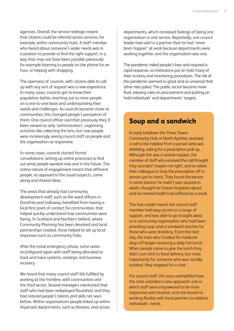agencies. Overall, the service redesign meant that citizens could be referred across services, for example, within community hubs. A staff member who heard about someone's wider needs was in a position to provide or find the right support, in a way that may not have been possible previously: for example listening to people on the phone for an hour, or helping with shopping.

The openness of councils, with citizens able to call up with any sort of request was a new experience. In many cases, councils got to know their population better, reaching out to more people on a one-to-one basis and understanding their needs and challenges. As councils became closer to communities, this changed people's perception of them. One council officer said that previously they'd been viewed as only '*administrators*', organising activities like collecting the bins, but now people were increasingly seeing council staff as people and the organisation as responsive.

In some cases, councils started formal consultations: setting up online processes to find out what people wanted now and in the future. The online nature of engagement meant that different people, as opposed to the usual suspects, came along and shared ideas.

The areas that already had community development staff, such as the ward officers in Dumfries and Galloway, benefited from having a local first point of contact for communities, that helped quickly understand how communities were faring. In Scotland and Northern Ireland, where Community Planning has been devolved and local partnerships created, these helped to set up local responses such as community hubs.

After the initial emergency phase, some areas reconfigured again with staff being allocated to track and trace systems, strategic and business recovery.

We heard that many council staff felt fulfilled by working at the frontline, with communities and the third sector. Several managers mentioned that staff who had been redeployed flourished, and they had noticed people's talents and skills not seen before. Within organisations people linked up within dispersed departments, such as libraries, and across

departments, which increased feelings of being one organisation or one service. Reportedly, one council leader had said to a partner that he had *'never been happier'* at work because departments were working together, and the organisation was one.

The pandemic risked people's lives and required a rapid response, so institutions put on hold many of their scrutiny and monitoring procedures. The risk of the pandemic seemed so great and so universal that other risks paled. The public sector became more fluid, relaxing rules on procurement and putting on hold individuals' and departments' targets.

### **Soup and a sandwich**

In early lockdown the Three Towns Community Hub, in North Ayrshire, received a call to the helpline from a person who was shielding, asking for a prescription pick-up. Although this was a routine request, the member of staff who received the call thought they sounded 'maybe not right', and so asked their colleague to drop the prescription off in person just to check. They found the person in some distress: he hadn't seen anyone in weeks, thought he'd been forgotten about, and his mental health had suffered as a result.

The hub model meant the council staff member had easy access to a range of support, and was able to go straight away to a community organisation who had been providing soup-and-a-sandwich lunches for those who were shielding. From the next day, the man who'd asked for medicine drop-off began receiving a daily hot lunch. When people came to give the lunch they didn't just stick to food delivery, but more importantly for someone who was socially isolated, they stopped for a chat.

For council staff, this story exemplified how the crisis unlocked a new approach: one in which staff were empowered to be more responsive and intuitive; and one based on working flexibly with local partners to address individuals' needs.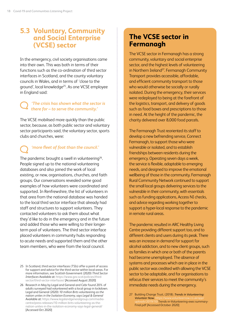## <span id="page-19-0"></span>**5.3 Voluntary, Community and Social Enterprise (VCSE) sector**

In the emergency, civil society organisations came into their own. This was both in terms of their functions such as the co-ordination of third sector interfaces in Scotland, and the county voluntary councils in Wales, and in terms of 'close to the ground', local knowledge<sup>25</sup>. As one VCSE employee in England said:

#### *'The crisis has shown what the sector is there for – to serve the community.'*

The VCSE mobilised more quickly than the public sector, because, as both public sector and voluntary sector participants said, the voluntary sector, sports clubs and churches, were:

## *'more fleet of foot than the council.'*

The pandemic brought a swell in volunteering<sup>26</sup>. People signed up to the national volunteering databases and also joined the work of local existing, or new, organisations, churches, and faith groups. Our conversations revealed some good examples of how volunteers were coordinated and supported. In Renfrewshire, the list of volunteers in that area from the national database was handed to the local third sector interface that already had staff and structures to support volunteers. They contacted volunteers to ask them about what they'd like to do in the emergency and in the future and added those who were willing to their longerterm pool of volunteers. The third sector interface placed volunteers in community hubs responding to acute needs and supported them and the other team members, who were from the local council.

## **The VCSE sector in Fermanagh**

The VCSE sector in Fermanagh has a strong community, voluntary and social enterprise sector, and the highest levels of volunteering in Northern Ireland<sup>27</sup>. Fermanagh Community Transport provides accessible, affordable, and efficient community transport to those who would otherwise be socially or rurally isolated. During the emergency, their services were redeployed to being at the forefront of the logistics, transport, and delivery of goods such as food boxes and prescriptions to those in need. At the height of the pandemic, the charity delivered over 8,000 food parcels.

The Fermanagh Trust reoriented its staff to develop a new befriending service, Connect Fermanagh, to support those who were vulnerable or isolated, and to establish friendships between residents during the emergency. Operating seven days a week, the service is flexible, adaptable to emerging needs, and designed to improve the emotional wellbeing of those in the community. Fermanagh Rural Community Network continued to support the small local groups delivering services to the vulnerable in their community, with essentials such as funding applications, Access NI checks, and advice regarding working together to support a hyper-local response to the pandemic in remote rural areas.

The pandemic resulted in ARC Healthy Living Centre providing different support too, and to different clients and users during its peak. There was an increase in demand for support for alcohol addiction, and to new client groups, such as families in which one or both of the parents had become unemployed. The absence of systems and processes which are in place in the public sector was credited with allowing the VCSE sector to be adaptable, and for organisations to refocus their services to meet the community's immediate needs during the emergency.

<sup>25</sup> In Scotland, third sector interfaces (TSIs) offer a point of access for support and advice for the third sector within local areas. For more information, see Scottish Government (2020) *Third Sector Interfaces* Available at: [https://www.gov.scot/policies/third](https://www.gov.scot/policies/third-sector/third-sector-interfaces/)[sector/third-sector-interfaces/](https://www.gov.scot/policies/third-sector/third-sector-interfaces/) [Accessed August 2020]

<sup>26</sup> Research in May by Legal and General and Cebr found 20% of adults surveyed had volunteered with a local group in lockdown. Legal and General (2020) *10 million Brits volunteering as the nation unites in the Isolation Economy, says Legal & General* Available at: [https://www.legalandgeneralgroup.com/media](https://www.legalandgeneralgroup.com/media-centre/press-releases/10-million-brits-volunteering-as-the-nation-unites-in-the-isolation-economy-says-legal-general/)[centre/press-releases/10-million-brits-volunteering-as-the](https://www.legalandgeneralgroup.com/media-centre/press-releases/10-million-brits-volunteering-as-the-nation-unites-in-the-isolation-economy-says-legal-general/)[nation-unites-in-the-isolation-economy-says-legal-general/](https://www.legalandgeneralgroup.com/media-centre/press-releases/10-million-brits-volunteering-as-the-nation-unites-in-the-isolation-economy-says-legal-general/) [Accessed Oct 2020]

<sup>27</sup> Building Change Trust, (2018). *Trends in Volunteering: Volunteer Now.* upomments<br>//Trends-in-Volunteering-exec-summary-Final.pdf [Accessed October 2020]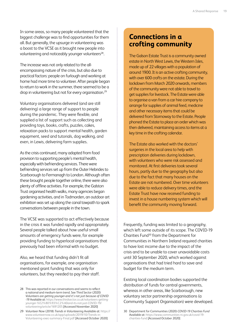In some areas, so many people volunteered that the biggest challenge was to find opportunities for them all. But generally, the upsurge in volunteering was a boost to the VCSE as it brought new people into volunteering and noticeably younger volunteers<sup>28</sup>.

The increase was not only related to the allencompassing nature of the crisis, but also due to practical factors: people on furlough and working at home had more time to volunteer. After people began to return to work in the summer, there seemed to be a drop in volunteering but not for every organisation.<sup>29</sup>

Voluntary organisations delivered (and are still delivering) a large range of support to people during the pandemic. They were flexible, and supplied a list of support such as collecting and providing toys, books, crafts, puzzles, cakes, relaxation packs to support mental health, garden equipment, seed and tutorials, dog walking, and even, in Lewis, delivering farm supplies.

As the crisis continued, many adapted from food provision to supporting people's mental health, especially with befriending services. There were befriending services set up from the Outer Hebrides to Scarborough to Fermanagh to London. Although often these brought people together online, there were also plenty of offline activities. For example, the Galston Trust organised health walks, many agencies began gardening activities, and in Todmorden, an outdoor art exhibition was set up along the canal towpath to spark conversations between people in the town.

The VCSE was supported to act effectively because in the crisis it was funded rapidly and appropriately. Several people talked about how useful small amounts of emergency funds were, for example providing funding to hyperlocal organisations that previously had been informal with no budget.

Also, we heard that funding didn't fit all organisations, for example, one organisation mentioned grant funding that was only for volunteers, but they needed to pay their staff.

- 28 This was reported in our conversations and seems to reflect a national and medium-term trend. See Third Sector (2020) *Volunteers are getting younger-and it's not just because of COVID -19* Available at: [https://www.thirdsector.co.uk/volunteers-getting](https://www.thirdsector.co.uk/volunteers-getting-younger-%E2%80%93%C2%A0and-its-not-just-COVID-19/volunteering/article/1691205)[younger-%E2%80%93%C2%A0and-its-not-just-COVID-19/](https://www.thirdsector.co.uk/volunteers-getting-younger-%E2%80%93%C2%A0and-its-not-just-COVID-19/volunteering/article/1691205) [volunteering/article/1691205](https://www.thirdsector.co.uk/volunteers-getting-younger-%E2%80%93%C2%A0and-its-not-just-COVID-19/volunteering/article/1691205) [Accessed November 2020]
- 29 *Volunteer Now* (2018) *Trends in Volunteering* Available at: [https://](https://www.volunteernow.co.uk/app/uploads/2019/10/Trends-in-Volunteering-exec-summary-Final.pdf) [www.volunteernow.co.uk/app/uploads/2019/10/Trends-in-](https://www.volunteernow.co.uk/app/uploads/2019/10/Trends-in-Volunteering-exec-summary-Final.pdf)[Volunteering-exec-summary-Final.pdf](https://www.volunteernow.co.uk/app/uploads/2019/10/Trends-in-Volunteering-exec-summary-Final.pdf) [Accessed October 2020]

### **Connections in a crofting community**

The Galson Estate Trust is a community owned estate in North West Lewis, the Western Isles, made up of 22 villages with a population of around 1900. It is an active crofting community, with over 600 crofts on the estate. During the lockdown from March 2020 onwards, members of the community were not able to travel to get supplies for livestock. The Estate were able to organise a van from a car hire company to arrange for supplies of animal feed, medicine and other necessary items that could be delivered from Stornoway to the Estate. People phoned the Estate to place an order which was then delivered, maintaining access to items at a key time in the crofting calendar.

The Estate also worked with the doctors' surgeries in the local area to help with prescription deliveries during lockdown, with volunteers who were risk assessed and monitored. At first deliveries took several hours, partly due to the geography but also due to the fact that many houses on the Estate are not numbered. Over time volunteers were able to reduce delivery times, and the Estate Trust have now received funding to invest in a house numbering system which will benefit the community moving forward.

Frequently, funding was limited to a geography, which left some outside of its scope. The COVID-19 Charities Fund30 from the Department for Communities in Northern Ireland required charities to have lost income due to the impact of the crisis and to be unable to cover unavoidable costs until 30 September 2020, which worked against organisations that had tried hard to save and budget for the medium term.

Existing local coordination bodies supported the distribution of funds for central governments, whereas in other areas, like Scarborough, new voluntary sector partnership organisations (a Community Support Organisation) were developed.

<sup>30</sup> Department for Communities (2020) *COVID-19 Charities Fund*  Available at: [https://www.communities-ni.gov.uk/covid-19](https://www.communities-ni.gov.uk/covid-19-charities-fund) [charities-fund](https://www.communities-ni.gov.uk/covid-19-charities-fund) [Accessed October 2020]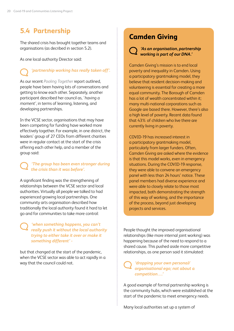## <span id="page-21-0"></span>**5.4 Partnership**

The shared crisis has brought together teams and organisations (as decribed in section 5.2).

As one local authority Director said:

## *'partnership working has really taken off'.*

As our recent *[Pooling Together](https://www.carnegieuktrust.org.uk/publications/pooling-together-how-community-hubs-have-responded-to-the-covid-19-emergency/)* report outlined, people have been having lots of conversations and getting to know each other. Separately, another participant described her council as, '*having a moment'*, in terms of learning, listening, and developing partnerships.

In the VCSE sector, organisations that may have been competing for funding have worked more effectively together. For example, in one district, the leaders' group of 27 CEOs from different charities were in regular contact at the start of the crisis offering each other help, and a member of the group said:

#### *'The group has been even stronger during the crisis than it was before'.*

A significant finding was the strengthening of relationships between the VCSE sector and local authorities. Virtually all people we talked to had experienced growing local partnerships. One community arts organisation described how traditionally the local authority found it hard to let go and for communities to take more control:

*'when something happens, you can't really push it without the local authority trying to either take it over or make it something different' -*

but that changed at the start of the pandemic, when the VCSE sector was able to act rapidly in a way that the council could not.

## **Camden Giving**



#### *'As an organisation, partnership working is part of our DNA.'*

Camden Giving's mission is to end local poverty and inequality in Camden. Using a participatory grantmaking model, they believe that resident decision-making and volunteering is essential for creating a more equal community. The Borough of Camden has a lot of wealth concentrated within it; many multi-national corporations such as Google are based there. However, there's also a high level of poverty. Recent data found that 43% of children who live there are currently living in poverty.

COVID-19 has increased interest in a participatory grantmaking model, particularly from larger funders. Often, Camden Giving are asked where the evidence is that this model works, even in emergency situations. During the COVID-19 response, they were able to convene an emergency panel with less than 24 hours' notice. These panel members had diverse experience and were able to closely relate to those most impacted, both demonstrating the strength of this way of working, and the importance of the process, beyond just developing projects and services.

People thought the improved organisational relationships (like more internal joint working) was happening because of the need to respond to a shared cause. This pushed aside more competitive relationships, as one person said it stimulated:

#### *'dropping your own personal/ organisational ego; not about a competition….'*

A good example of formal partnership working is the community hubs, which were established at the start of the pandemic to meet emergency needs.

Many local authorities set up a system of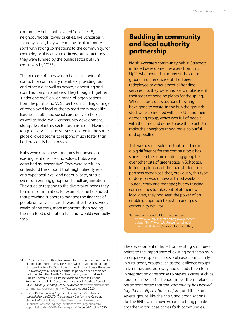community hubs that covered 'localities'31, neighbourhoods, towns or cities, like Lancaster<sup>32</sup>. In many cases, they were run by local authority staff with strong connections to the community, for example, locality or ward officers, but sometimes they were funded by the public sector but run exclusively by VCSEs.

The purpose of hubs was to be a local point of contact for community members, providing food and other aid as well as advice, signposting and coordination of volunteers. They brought together 'under one roof' a wide range of organisations from the public and VCSE sectors, including a range of redeployed local authority staff from areas like libraries, health and social care, active schools, as well as social work, community development, alongside voluntary sector organisations. Having a range of services (and skills) co-located in the same place allowed teams to respond much faster than had previously been possible.

Hubs were often new structures but based on existing relationships and values. Hubs were described as 'responsive'. They were careful to understand the support that might already exist at a hyperlocal level, and not duplicate, or take over from existing groups and small organisations. They tried to respond to the diversity of needs they found in communities, for example, one hub noted that providing support to manage the finances of people on Universal Credit was, after the first week weeks of the crisis, more important than adding them to food distribution lists that would eventually stop.

### **Bedding in community and local authority partnership**

North Ayrshire's community hub in Saltcoats included development workers from Link Up\*33 who heard that many of the council's ground maintenance staff had been redeployed to other essential frontline services. So, they were unable to make use of their stock of bedding plants for the spring. Where in previous situations they might have gone to waste, in the hub the grounds' staff were connected with Link Up and their gardening group, which was full of people with the time and desire to use the plants to make their neighbourhood more colourful and appealing.

This was a small solution that could make a big difference for the community: it has since seen the same gardening group take over other bits of greenspace in Saltcoats, including planters at the train station. Local partners recognised that, previously, this type of decision would have entailed weeks of 'bureaucracy and red tape'; but by trusting communities to take control of their own local area, they had seen the power of an enabling approach to sustain and grow community activity.

The development of hubs from existing structures points to the importance of existing partnerships in emergency response. In several cases, particularly in rural areas, groups such as the resilience groups in Dumfries and Galloway had already been formed in preparation or response to previous crises such as floods or snow. In Cushendall in Northern Ireland, a participant noted that the '*community has worked together in difficult times before'*, and there are several groups, like the choir, and organisations like the RNLI which have worked to bring people together, in this case across faith communities.

<sup>31</sup> In Scotland local authorities are required to carry out Community Planning, and some areas like North Ayrshire (with a population of approximately 135,000) have divided into localities – there are 6 in North Ayrshire. Locality partnerships have been developed that bring together North Ayrshire Council, Health and Social Care Partnership (HSCP), Police Scotland, Scottish Fire and Rescue, and the Third Sector Interface. North Ayrshire Council (2020) *Locality Planning Report* Available at: [http://northayrshire.](http://northayrshire.community/your-community/) [community/your-community/](http://northayrshire.community/your-community/) [Accessed August 2020]

<sup>32</sup> Coutts, P. et. al, *Pooling Together: How community hubs have responded to the COVID-19 emergency* Dunfermline: Carnegie UK Trust 2020 Available at: [https://www.carnegieuktrust.org.](https://www.carnegieuktrust.org.uk/publications/pooling-together-how-community-hubs-have-responded-to-the-COVID-19-emergency/) [uk/publications/pooling-together-how-community-hubs-have](https://www.carnegieuktrust.org.uk/publications/pooling-together-how-community-hubs-have-responded-to-the-COVID-19-emergency/)[responded-to-the-COVID-19-emergency/](https://www.carnegieuktrust.org.uk/publications/pooling-together-how-community-hubs-have-responded-to-the-COVID-19-emergency/) Accessed October 2020]

<sup>33</sup> For more about Link Up in Scotland see [Contextv220317.pdf](https://www.inspiringscotland.org.uk/wp-content/uploads/2017/10/LinkUpsRelevanceinaHealthContextv220317.pdf) [Accessed October 2020]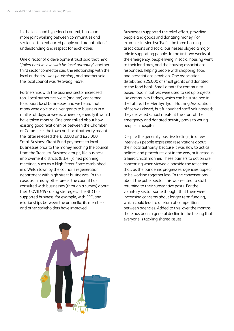In the local and hyperlocal context, hubs and more joint working between communities and sectors often enhanced people and organisations' understanding and respect for each other.

One director of a development trust said that he'd, '*fallen back in love with his local authority'*, another third sector connector said the relationship with the local authority *'was flourishing'*, and another said the local council was '*listening more'*.

Partnerships with the business sector increased too. Local authorities were (and are) concerned to support local businesses and we heard that many were able to deliver grants to business in a matter of days or weeks, whereas generally it would have taken months. One area talked about how existing good relationships between the Chamber of Commerce, the town and local authority meant the latter released the £10,000 and £25,000 Small Business Grant Fund payments to local businesses prior to the money reaching the council from the Treasury. Business groups, like business improvement districts (BIDs), joined planning meetings, such as a High Street Force established in a Welsh town by the council's regeneration department with high street businesses. In this case, as in many other areas, the council has consulted with businesses (through a survey) about their COVID-19 coping strategies. The BID has supported business, for example, with PPE, and relationships between the umbrella, its members, and other stakeholders have improved.

Businesses supported the relief effort, providing people and goods and donating money. For example, in Merthyr Tydfil, the three housing associations and social businesses played a major role in supporting people. In the first two weeks of the emergency, people living in social housing went to their landlords, and the housing associations responded, helping people with shopping, food and prescriptions provision. One association distributed £25,000 of small grants and donated to the food bank. Small grants for communitybased food initiatives were used to set up projects like community fridges, which can be sustained in the future. The Merthyr Tydfil Housing Association office was closed, but furloughed staff volunteered; they delivered school meals at the start of the emergency and donated activity packs to young people in hospital.

Despite the generally positive feelings, in a few interviews people expressed reservations about their local authority, because it was slow to act as policies and procedures got in the way, or it acted in a hierarchical manner. These barriers to action are concerning when viewed alongside the reflection that, as the pandemic progresses, agencies appear to be working together less. In the conversations about the public sector, this was related to staff returning to their substantive posts. For the voluntary sector, some thought that there were increasing concerns about longer term funding, which could lead to a return of competition between agencies. Added to this, over the months there has been a general decline in the feeling that everyone is tackling shared issues.

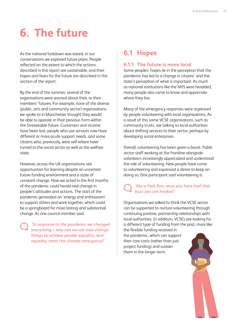# <span id="page-24-0"></span>**6. The future**

As the national lockdown was eased, in our conversations we explored future plans. People reflected on the extent to which the actions described in this report are sustainable, and their hopes and fears for the future are described in this section of the report.

By the end of the summer, several of the organisations were worried about their, or their members' futures. For example, none of the diverse (public, arts and community sector) organisations we spoke to in Manchester thought they would be able to operate in their previous form within the foreseeable future. Customers and income have been lost; people who use services now have different or more acute support needs, and some citizens who, previously, were self-reliant have turned to the social sector as well as the welfare state.

However, across the UK organisations see opportunities for learning despite an uncertain future funding environment and a state of constant change. How we acted in the first months of the pandemic could herald real change in people's attitudes and actions. The start of the pandemic generated an 'energy and enthusiasm' to support others and work together, which could be a springboard for more lasting and substantial change. As one council member said:

> *'In response to the pandemic we changed everything – why can we not now change things to achieve gender equality, race equality, meet the climate emergency?'*

## **6.1 Hopes**

#### **6.1.1 The future is more local**

Some peoples' hopes lie in the perception that the pandemic has led to a change in citizens' and the state's perception of what is important. As much as national institutions like the NHS were heralded, many people also came to know and appreciate where they live.

Many of the emergency responses were organised by people volunteering with local organisations. As a result of this some VCSE organisations, such as community trusts, are talking to local authorities about shifting services to their sector, perhaps by developing social enterprises.

Overall, volunteering has been given a boost. Public sector staff working at the frontline alongside volunteers increasingly appreciated and understood the role of volunteering. New people have come to volunteering and expressed a desire to keep on doing so. One participant said volunteering is:

### *'like a Park Run: once you have had that buzz you are hooked'.*

Organisations we talked to think the VCSE sector can be supported to nurture volunteering through continuing positive, partnership relationships with local authorities. In addition, VCSEs are looking for a different type of funding from the past, more like

the flexible funding received in the pandemic, which can support their core costs (rather than just project funding) and sustain them in the longer term.

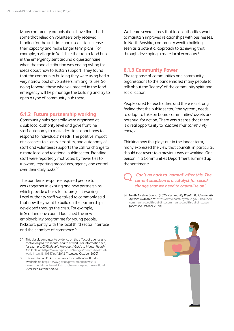<span id="page-25-0"></span>Many community organisations have flourished: some that relied on volunteers only received funding for the first time and used it to increase their capacity and make longer term plans. For example, a village in Yorkshire that ran a food hub in the emergency sent around a questionnaire when the food distribution was ending asking for ideas about how to sustain support. They found that the community building they were using had a very narrow pool of volunteers, limiting its use. So, going forward, those who volunteered in the food emergency will help manage the building and try to open a type of community hub there.

#### **6.1.2 Future partnership working**

Community hubs generally were organised at a sub local authority level and gave frontline staff autonomy to make decisions about how to respond to individuals' needs. The positive impact of closeness to clients, flexibility, and autonomy of staff and volunteers supports the call for change to a more local and relational public sector. Frontline staff were reportedly motivated by fewer ties to (upward) reporting procedures, agency and control over their daily tasks.<sup>34</sup>

The pandemic response required people to work together in existing and new partnerships, which provide a basis for future joint working. Local authority staff we talked to commonly said that now they want to build on the partnerships developed through the crisis. For example, in Scotland one council launched the new employability programme for young people, Kickstart, jointly with the local third sector interface and the chamber of commerce35.

We heard several times that local authorities want to maintain improved relationships with businesses. In North Ayrshire, community wealth building is seen as a potential approach to achieving that, through developing a more local economy $36$ .

#### **6.1.3 Community Power**

The response of communities and community organisations to the pandemic led many people to talk about the 'legacy' of the community spirit and social action.

People cared for each other, and there is a strong feeling that the public sector, 'the system', needs to adapt to take on board communities' assets and potential for action. There was a sense that there is a real opportunity to *'capture that community energy'*.

Thinking how this plays out in the longer term, many expressed the view that councils, in particular, should not revert to a previous way of working. One person in a Communities Department summed up the sentiment:

*'Can't go back to 'normal' after this. The current situation is a catalyst for social change that we need to capitalise on'.*

36 North Ayrshire Council (2020) *Community Wealth Building North Ayrshire* Available at: [https://www.north-ayrshire.gov.uk/council/](https://www.north-ayrshire.gov.uk/council/community-wealth-building/community-wealth-building.aspx) [community-wealth-building/community-wealth-building.aspx](https://www.north-ayrshire.gov.uk/council/community-wealth-building/community-wealth-building.aspx) [Accessed October 2020]



<sup>34</sup> This closely correlates to evidence on the effect of agency and control on positive mental health at work. For information see, for example, CIPD, *People Managers' Guide to Mental Health*  Available at: [https://www.cipd.co.uk/Images/mental-health-at](https://www.cipd.co.uk/Images/mental-health-at-work-1_tcm18-10567.pdf)[work-1\\_tcm18-10567.pdf](https://www.cipd.co.uk/Images/mental-health-at-work-1_tcm18-10567.pdf) 2018 [Accessed October 2020]

<sup>35</sup> Information on Kickstart scheme for youth in Scotland is available at: [https://www.gov.uk/government/news/uk](https://www.gov.uk/government/news/uk-government-launches-kickstart-scheme-for-youth-in-scotland)[government-launches-kickstart-scheme-for-youth-in-scotland](https://www.gov.uk/government/news/uk-government-launches-kickstart-scheme-for-youth-in-scotland) [Accessed October 2020]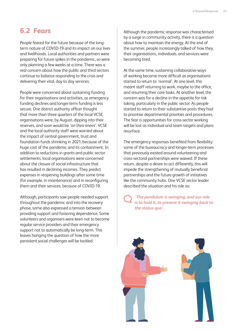## <span id="page-26-0"></span>**6.2 Fears**

People feared for the future because of the longterm nature of COVID-19 and its impact on our lives and livelihoods. Local authorities and partners were preparing for future spikes in the pandemic, so were only planning a few weeks at a time. There was a real concern about how the public and third sectors continue to balance responding to the crisis and delivering their vital, day to day services.

People were concerned about sustaining funding for their organisations and activities, as emergency funding declines and longer-term funding is less secure. One district authority officer thought that more than three quarters of the local VCSE organisations were, by August, dipping into their reserves, and soon would be '*on their knees'*. VCSE and the local authority staff were worried about the impact of central government, trust and foundation funds shrinking in 2021, because of the huge cost of the pandemic and its containment. In addition to reductions in grants and public sector settlements, local organisations were concerned about the closure of social infrastructure that has resulted in declining incomes. They predict expenses in reopening buildings after some time (for example, in maintenance) and in reconfiguring them and their services, because of COVID-19.

Although, participants saw people needed support throughout the pandemic and into the recovery phase, some also expressed a tension between providing support and fostering dependence. Some volunteers and organisers were keen not to become regular service providers and their emergency support not to automatically be long-term. This leaves hanging the question of how the more persistent social challenges will be tackled.

Although the pandemic response was characterised by a surge in community activity, there is a question about how to maintain the energy. At the end of the summer, people increasingly talked of how they, their organisations, individuals, and services were becoming tired.

At the same time, sustaining collaborative ways of working became more difficult as organisations started to return to 'normal'. At one level, this meant staff returning to work, maybe to the office, and resuming their core tasks. At another level, the concern was for a decline in the appetite for risktaking, particularly in the public sector. As people started to return to their substantive posts they had to prioritise departmental priorities and procedures. The fear is opportunities for cross-sector working will be lost as individual and team targets and plans resurface.

The emergency responses benefited from flexibility: some of the bureaucracy and longer-term processes that previously existed around volunteering and cross-sectoral partnerships were waived. If these return, despite a desire to act differently, this will impede the strengthening of mutually beneficial partnerships and the future growth of initiatives like the community hubs. One VCSE sector leader described the situation and his role as:

*'The pendulum is swinging, and our role is to hold it, to prevent it swinging back to the status quo'.* 

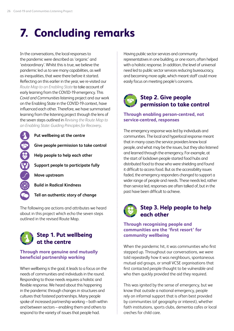## <span id="page-27-0"></span>**7. Concluding remarks**

In the conversations, the local responses to the pandemic were described as 'organic' and 'extraordinary'. Whilst this is true, we believe the pandemic led us to see many capabilities, as well as inequalities, that were there before it started. Reflecting on this earlier in the year, we re-visited our *[Route Map to an Enabling State](https://www.carnegieuktrust.org.uk/publications/revisiting-the-route-map-to-an-enabling-state-guiding-principles-for-recovery/)* to take account of early learning from the COVID-19 emergency. This *Covid and Communities* listening project and our work on the Enabling State in the COVID-19 context, have influenced each other. Therefore, we have summarised learning from the listening project through the lens of the seven steps outlined in *[Revising the Route Map to](https://www.carnegieuktrust.org.uk/publications/revisiting-the-route-map-to-an-enabling-state-guiding-principles-for-recovery/)  [an Enabling State: Guiding Principles for Recovery](https://www.carnegieuktrust.org.uk/publications/revisiting-the-route-map-to-an-enabling-state-guiding-principles-for-recovery/)*.

**Put wellbeing at the centre** 59 3 3 4 3 **Give people permission to take control Help people to help each other Support people to participate fully Move upstream Build in Radical Kindness Tell an authentic story of change**

The following are actions and attributes we heard about in this project which echo the seven steps outlined in the revised Route Map.



#### **Through more genuine and mutually beneficial partnership working**

When wellbeing is the goal, it leads to a focus on the needs of communities and individuals in the round. Responding to those needs requires a holistic and flexible response. We heard about this happening in the pandemic through changes in structures and cultures that fostered partnerships. Many people spoke of increased partnership working – both within and between sectors – enabling them and others to respond to the variety of issues that people had.

Having public sector services and community representatives in one building, or one room, often helped with a holistic response. In addition, the level of universal need led to public sector services reducing bureaucracy, and becoming more agile, which meant staff could more easily focus on meeting people's concerns.

## **Step 2. Give people permission to take control**

#### **Through enabling person-centred, not service-centred, responses**

The emergency response was led by individuals and communities. The local and hyperlocal response meant that in many cases the service providers knew local people, and what may be the issues, but they also listened and learned through the emergency. For example, at the start of lockdown people started food hubs and distributed food to those who were shielding and found it difficult to access food. But as the accessibility issues faded, the emergency responders changed to support a wider range of people and needs. These needs led, rather than service led, responses are often talked of, but in the past have been difficult to achieve.

## **Step 3. Help people to help each other**

#### **Through recognising people and communities are the 'first resort' for community wellbeing**

When the pandemic hit, it was communities who first stepped up. Throughout our conversations, we were told repeatedly how it was neighbours, spontaneous mutual aid groups, or small VCSE organisations that first contacted people thought to be vulnerable and who then quickly provided the aid they required.

This was ignited by the sense of emergency, but we know that outside a national emergency, people rely on informal support that is often best provided by communities (of geography or interest), whether faith institutions, sports clubs, dementia cafes or local creches for child care.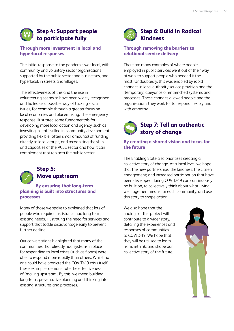### **Step 4: Support people to participate fully**

#### **Through more investment in local and hyperlocal responses**

The initial response to the pandemic was local, with community and voluntary sector organisations supported by the public sector and businesses, and hyperlocal, in streets and villages.

The effectiveness of this and the rise in volunteering seems to have been widely recognised and hailed as a possible way of tacking social issues, for example through a greater focus on local economies and placemaking. The emergency response illustrated some fundamentals for developing more local action and agency, such as investing in staff skilled in community development, providing flexible (often small amounts) of funding directly to local groups, and recognising the skills and capacities of the VCSE sector and how it can complement (not replace) the public sector.



### **Step 5: Move upstream**

#### **By ensuring that long-term planning is built into structures and processes**

Many of those we spoke to explained that lots of people who required assistance had long-term, existing needs, illustrating the need for services and support that tackle disadvantage early to prevent further decline.

Our conversations highlighted that many of the communities that already had systems in place for responding to local crises (such as floods) were able to respond more rapidly than others. Whilst no one could have predicted the COVID-19 crisis itself, these examples demonstrate the effectiveness of 'moving upstream'. By this, we mean building long-term, preventative planning and thinking into existing structures and processes.



### **Step 6: Build in Radical Kindness**

#### **Through removing the barriers to relational service delivery**

There are many examples of where people employed in public services went out of their way at work to support people who needed it the most. Undoubtedly, this was enabled by rapid changes in local authority service provision and the (temporary) abeyance of entrenched systems and processes. These changes allowed people and the organisations they work for to respond flexibly and with empathy.

## **Step 7: Tell an authentic story of change**

#### **By creating a shared vision and focus for the future**

The Enabling State also prioritises creating a collective story of change. At a local level, we hope that the new partnerships; the kindness; the citizen engagement; and increased participation that have been developed during COVID-19 can continuously be built on, to collectively think about what 'living well together' means for each community, and use this story to shape action.

We also hope that the findings of this project will contribute to a wider story, detailing the experiences and responses of communities to COVID-19. We hope that they will be utilised to learn from, rethink, and shape our collective story of the future.

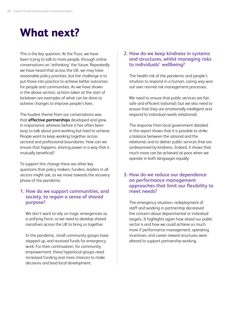## <span id="page-29-0"></span>**What next?**

This is the key question. At the Trust, we have been trying to talk to more people, through online conversations on 'rethinking' the future. Repeatedly we have heard that across the UK, we may have reasonable policy priorities, but the challenge is to put those into practice to achieve better outcomes for people and communities. As we have shown in the above section, actions taken at the start of lockdown are examples of what can be done to achieve changes to improve people's lives.

The loudest theme from our conversations was that **effective partnerships** developed and grew in importance, whereas before it has often been easy to talk about joint-working but hard to achieve. People want to keep working together across sectoral and professional boundaries. How can we ensure that happens, sharing power in a way that is mutually beneficial?

To support this change there are other key questions that policy makers, funders, leaders in all sectors might ask, as we move towards the recovery phase of the pandemic.

#### **1. How do we support communities, and society, to regain a sense of shared purpose?**

We don't want to rely on tragic emergencies as a unifying force, so we need to develop shared narratives across the UK to bring us together.

In the pandemic, small community groups have stepped up, and received funds for emergency work. For their continuation, for community empowerment, these hyperlocal groups need increased funding and more chances to make decisions and lead local development.

#### **2. How do we keep kindness in systems and structures, whilst managing risks to individuals' wellbeing?**

The health risk of the pandemic and people's intuition to respond in a human, caring way won out over normal risk management processes.

We need to ensure that public services are fair, safe and efficient (rational); but we also need to ensure that they are emotionally intelligent and respond to individual needs (relational).

The response from local government detailed in this report shows that it is possible to strike a balance between the rational and the relational, and to deliver public services that are underpinned by kindness. Indeed, it shows that much more can be achieved at pace when we operate in both languages equally.

#### **3. How do we reduce our dependence on performance management approaches that limit our flexibility to meet needs?**

The emergency situation, redeployment of staff and working in partnership decreased the concern about departmental or individual targets. It highlights again how siloed our public sector is and how we could achieve so much more if performance management, operating incentives, and career reward structures were altered to support partnership working.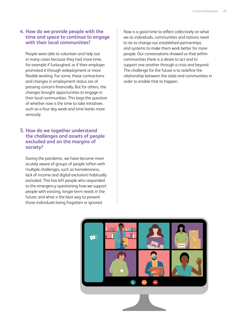#### **4. How do we provide people with the time and space to continue to engage with their local communities?**

People were able to volunteer and help out in many cases because they had more time, for example if furloughed, or if their employer promoted it through redeployment or more flexible working. For some, these contractions and changes in employment status are of pressing concern financially. But for others, the changes brought opportunities to engage in their local communities. This begs the question of whether now is the time to take initiatives such as a four day week and time banks more seriously.

#### **5. How do we together understand the challenges and assets of people excluded and on the margins of society?**

During the pandemic, we have become more acutely aware of groups of people (often with multiple challenges, such as homelessness, lack of income and digital exclusion) habitually excluded. This has left people who responded to the emergency questioning how we support people with existing, longer-term needs in the future; and what is the best way to prevent those individuals being forgotten or ignored.

Now is a good time to reflect collectively on what we as individuals, communities and nations need to do to change our established partnerships and systems to make them work better for more people. Our conversations showed us that within communities there is a desire to act and to support one another through a crisis and beyond. The challenge for the future is to redefine the relationship between the state and communities in order to enable that to happen.

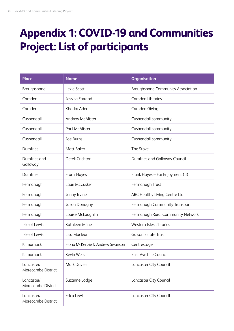## <span id="page-31-0"></span>**Appendix 1: COVID-19 and Communities Project: List of participants**

| <b>Place</b>                     | <b>Name</b>                     | <b>Organisation</b>                      |
|----------------------------------|---------------------------------|------------------------------------------|
| Broughshane                      | Lexie Scott                     | <b>Broughshane Community Association</b> |
| Camden                           | Jessica Farrand                 | <b>Camden Libraries</b>                  |
| Camden                           | Khadra Aden                     | <b>Camden Giving</b>                     |
| Cushendall                       | <b>Andrew McAlister</b>         | Cushendall community                     |
| Cushendall                       | <b>Paul McAlister</b>           | Cushendall community                     |
| Cushendall                       | Joe Burns                       | Cushendall community                     |
| Dumfries                         | Matt Baker                      | The Stove                                |
| Dumfries and<br>Galloway         | Derek Crichton                  | Dumfries and Galloway Council            |
| Dumfries                         | Frank Hayes                     | Frank Hayes - For Enjoyment CIC          |
| Fermanagh                        | Lauri McCusker                  | Fermanagh Trust                          |
| Fermanagh                        | Jenny Irvine                    | ARC Healthy Living Centre Ltd            |
| Fermanagh                        | Jason Donaghy                   | Fermanagh Community Transport            |
| Fermanagh                        | Louise McLaughlin               | Fermanagh Rural Community Network        |
| Isle of Lewis                    | Kathleen Milne                  | Western Isles Libraries                  |
| Isle of Lewis                    | Lisa Maclean                    | <b>Galson Estate Trust</b>               |
| Kilmarnock                       | Fiona McKenzie & Andrew Swanson | Centrestage                              |
| Kilmarnock                       | Kevin Wells                     | <b>East Ayrshire Council</b>             |
| Lancaster/<br>Morecambe District | <b>Mark Davies</b>              | Lancaster City Council                   |
| Lancaster/<br>Morecambe District | Suzanne Lodge                   | Lancaster City Council                   |
| Lancaster/<br>Morecambe District | Erica Lewis                     | Lancaster City Council                   |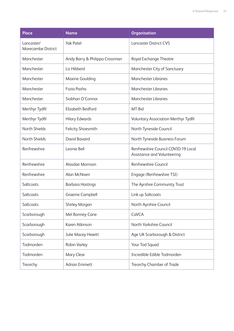| <b>Place</b>                     | <b>Name</b>                    | <b>Organisation</b>                                                |
|----------------------------------|--------------------------------|--------------------------------------------------------------------|
| Lancaster/<br>Morecambe District | <b>Yak Patel</b>               | <b>Lancaster District CVS</b>                                      |
| Manchester                       | Andy Barry & Philippa Crossman | Royal Exchange Theatre                                             |
| Manchester                       | Liz Hibberd                    | Manchester City of Sanctuary                                       |
| Manchester                       | Maxine Goulding                | <b>Manchester Libraries</b>                                        |
| Manchester                       | Fozia Pasha                    | <b>Manchester Libraries</b>                                        |
| Manchester                       | Siobhan O'Connor               | <b>Manchester Libraries</b>                                        |
| Merthyr Tydfil                   | Elizabeth Bedford              | MT Bid                                                             |
| Merthyr Tydfil                   | <b>Hilary Edwards</b>          | Voluntary Association Merthyr Tydfil                               |
| North Shields                    | Felicity Shoesmith             | North Tyneside Council                                             |
| North Shields                    | David Bavaird                  | North Tyneside Business Forum                                      |
| Renfrewshire                     | Leonie Bell                    | Renfrewshire Council COVID-19 Local<br>Assistance and Volunteering |
| Renfrewshire                     | Alasdair Morrison              | Renfrewshire Council                                               |
| Renfrewshire                     | Alan McNiven                   | Engage (Renfrewshire TSI)                                          |
| Saltcoats                        | <b>Barbara Hastings</b>        | The Ayrshire Community Trust                                       |
| Saltcoats                        | Graeme Campbell                | Link up Saltcoats                                                  |
| Saltcoats                        | Shirley Morgan                 | North Ayrshire Council                                             |
| Scarborough                      | Mel Bonney-Cane                | CaVCA                                                              |
| Scarborough                      | Karen Atkinson                 | North Yorkshire Council                                            |
| Scarborough                      | Julie Macey-Hewitt             | Age UK Scarborough & District                                      |
| Todmorden                        | Robin Varley                   | Your Tod Squad                                                     |
| Todmorden                        | Mary Clear                     | Incredible Edible Todmorden                                        |
| Treorchy                         | <b>Adrian Emmett</b>           | Treorchy Chamber of Trade                                          |